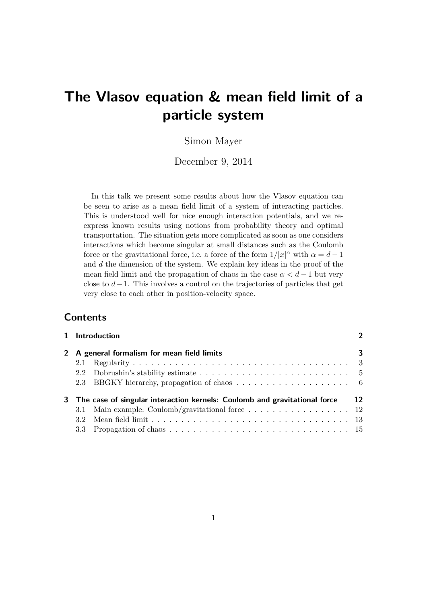# **The Vlasov equation & mean field limit of a particle system**

# Simon Mayer

December 9, 2014

In this talk we present some results about how the Vlasov equation can be seen to arise as a mean field limit of a system of interacting particles. This is understood well for nice enough interaction potentials, and we reexpress known results using notions from probability theory and optimal transportation. The situation gets more complicated as soon as one considers interactions which become singular at small distances such as the Coulomb force or the gravitational force, i.e. a force of the form  $1/|x|^{\alpha}$  with  $\alpha = d - 1$ and *d* the dimension of the system. We explain key ideas in the proof of the mean field limit and the propagation of chaos in the case  $\alpha < d-1$  but very close to *d*−1. This involves a control on the trajectories of particles that get very close to each other in position-velocity space.

# **Contents**

| 1 Introduction                                                              | $\mathbf{\Omega}$ |
|-----------------------------------------------------------------------------|-------------------|
| 2 A general formalism for mean field limits                                 | 3                 |
|                                                                             |                   |
|                                                                             |                   |
|                                                                             |                   |
| 3 The case of singular interaction kernels: Coulomb and gravitational force | 12                |
| 3.1 Main example: Coulomb/gravitational force  12                           |                   |
| 3.2 <sub>1</sub>                                                            |                   |
|                                                                             |                   |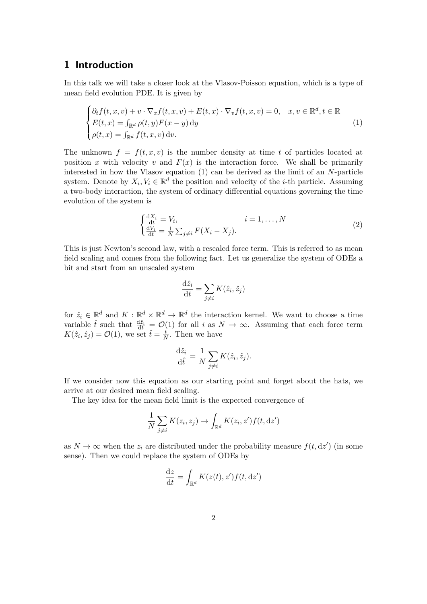# **1 Introduction**

In this talk we will take a closer look at the Vlasov-Poisson equation, which is a type of mean field evolution PDE. It is given by

$$
\begin{cases} \partial_t f(t, x, v) + v \cdot \nabla_x f(t, x, v) + E(t, x) \cdot \nabla_v f(t, x, v) = 0, & x, v \in \mathbb{R}^d, t \in \mathbb{R} \\ E(t, x) = \int_{\mathbb{R}^d} \rho(t, y) F(x - y) \, dy \\ \rho(t, x) = \int_{\mathbb{R}^d} f(t, x, v) \, dv. \end{cases} \tag{1}
$$

The unknown  $f = f(t, x, v)$  is the number density at time t of particles located at position x with velocity v and  $F(x)$  is the interaction force. We shall be primarily interested in how the Vlasov equation (1) can be derived as the limit of an *N*-particle system. Denote by  $X_i, V_i \in \mathbb{R}^d$  the position and velocity of the *i*-th particle. Assuming a two-body interaction, the system of ordinary differential equations governing the time evolution of the system is

$$
\begin{cases}\n\frac{dX_i}{dt} = V_i, & i = 1, \dots, N \\
\frac{dV_i}{dt} = \frac{1}{N} \sum_{j \neq i} F(X_i - X_j).\n\end{cases}
$$
\n(2)

This is just Newton's second law, with a rescaled force term. This is referred to as mean field scaling and comes from the following fact. Let us generalize the system of ODEs a bit and start from an unscaled system

$$
\frac{\mathrm{d}\hat{z}_i}{\mathrm{d}t} = \sum_{j \neq i} K(\hat{z}_i, \hat{z}_j)
$$

for  $\hat{z}_i \in \mathbb{R}^d$  and  $K : \mathbb{R}^d \times \mathbb{R}^d \to \mathbb{R}^d$  the interaction kernel. We want to choose a time variable  $\hat{t}$  such that  $\frac{d\hat{z}_i}{dt} = \mathcal{O}(1)$  for all *i* as  $N \to \infty$ . Assuming that each force term  $K(\hat{z}_i, \hat{z}_j) = \mathcal{O}(1)$ , we set  $\hat{t} = \frac{t}{N}$  $\frac{t}{N}$ . Then we have

$$
\frac{\mathrm{d}\hat{z}_i}{\mathrm{d}\hat{t}} = \frac{1}{N} \sum_{j \neq i} K(\hat{z}_i, \hat{z}_j).
$$

If we consider now this equation as our starting point and forget about the hats, we arrive at our desired mean field scaling.

The key idea for the mean field limit is the expected convergence of

$$
\frac{1}{N} \sum_{j \neq i} K(z_i, z_j) \to \int_{\mathbb{R}^d} K(z_i, z') f(t, dz')
$$

as  $N \to \infty$  when the  $z_i$  are distributed under the probability measure  $f(t, dz')$  (in some sense). Then we could replace the system of ODEs by

$$
\frac{\mathrm{d}z}{\mathrm{d}t} = \int_{\mathbb{R}^d} K(z(t), z') f(t, \mathrm{d}z')
$$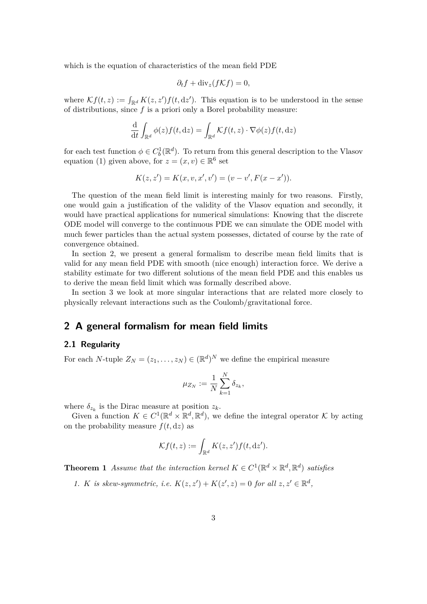which is the equation of characteristics of the mean field PDE

$$
\partial_t f + \text{div}_z(f \mathcal{K} f) = 0,
$$

where  $\mathcal{K}f(t, z) := \int_{\mathbb{R}^d} K(z, z') f(t, dz')$ . This equation is to be understood in the sense of distributions, since *f* is a priori only a Borel probability measure:

$$
\frac{\mathrm{d}}{\mathrm{d}t} \int_{\mathbb{R}^d} \phi(z) f(t, \mathrm{d}z) = \int_{\mathbb{R}^d} \mathcal{K} f(t, z) \cdot \nabla \phi(z) f(t, \mathrm{d}z)
$$

for each test function  $\phi \in C_b^1(\mathbb{R}^d)$ . To return from this general description to the Vlasov equation (1) given above, for  $z = (x, v) \in \mathbb{R}^6$  set

$$
K(z, z') = K(x, v, x', v') = (v - v', F(x - x')).
$$

The question of the mean field limit is interesting mainly for two reasons. Firstly, one would gain a justification of the validity of the Vlasov equation and secondly, it would have practical applications for numerical simulations: Knowing that the discrete ODE model will converge to the continuous PDE we can simulate the ODE model with much fewer particles than the actual system possesses, dictated of course by the rate of convergence obtained.

In section 2, we present a general formalism to describe mean field limits that is valid for any mean field PDE with smooth (nice enough) interaction force. We derive a stability estimate for two different solutions of the mean field PDE and this enables us to derive the mean field limit which was formally described above.

In section 3 we look at more singular interactions that are related more closely to physically relevant interactions such as the Coulomb/gravitational force.

## **2 A general formalism for mean field limits**

#### **2.1 Regularity**

For each *N*-tuple  $Z_N = (z_1, \ldots, z_N) \in (\mathbb{R}^d)^N$  we define the empirical measure

$$
\mu_{Z_N}:=\frac{1}{N}\sum_{k=1}^N\delta_{z_k},
$$

where  $\delta_{z_k}$  is the Dirac measure at position  $z_k$ .

Given a function  $K \in C^1(\mathbb{R}^d \times \mathbb{R}^d, \mathbb{R}^d)$ , we define the integral operator K by acting on the probability measure  $f(t, dz)$  as

$$
\mathcal{K}f(t,z) := \int_{\mathbb{R}^d} K(z,z')f(t,\mathrm{d}z').
$$

**Theorem 1** *Assume that the interaction kernel*  $K \in C^1(\mathbb{R}^d \times \mathbb{R}^d, \mathbb{R}^d)$  *satisfies* 

*1. K is skew-symmetric, i.e.*  $K(z, z') + K(z', z) = 0$  *for all*  $z, z' \in \mathbb{R}^d$ ,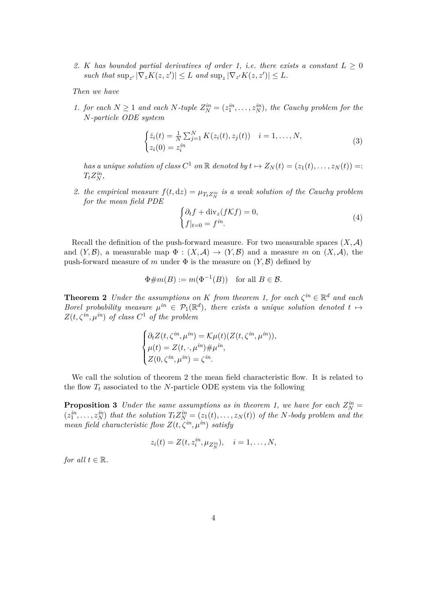2. *K* has bounded partial derivatives of order 1, i.e. there exists a constant  $L \geq 0$  $\int \mathbb{E} \left[ \int \nabla_z K(z, z') \right] \leq L \text{ and } \sup_z |\nabla_{z'} K(z, z')| \leq L.$ 

*Then we have*

*1. for each*  $N \geq 1$  *and each*  $N$ *-tuple*  $Z_N^{in} = (z_1^{in}, \ldots, z_N^{in})$ *, the Cauchy problem for the N-particle ODE system*

$$
\begin{cases} \dot{z}_i(t) = \frac{1}{N} \sum_{j=1}^N K(z_i(t), z_j(t)) & i = 1, \dots, N, \\ z_i(0) = z_i^{in} \end{cases} \tag{3}
$$

*has a unique solution of class*  $C^1$  *on*  $\mathbb R$  *denoted by*  $t \mapsto Z_N(t) = (z_1(t), \ldots, z_N(t)) =$ :  $T_t Z_N^{in}$ 

2. *the empirical measure*  $f(t, dz) = \mu_{T_t Z_N^{in}}$  *is a weak solution of the Cauchy problem for the mean field PDE*

$$
\begin{cases} \partial_t f + \text{div}_z(f \mathcal{K} f) = 0, \\ f|_{t=0} = f^{in} . \end{cases}
$$
\n(4)

Recall the definition of the push-forward measure. For two measurable spaces  $(X, \mathcal{A})$ and  $(Y, \mathcal{B})$ , a measurable map  $\Phi : (X, \mathcal{A}) \to (Y, \mathcal{B})$  and a measure *m* on  $(X, \mathcal{A})$ , the push-forward measure of *m* under  $\Phi$  is the measure on  $(Y, \mathcal{B})$  defined by

$$
\Phi \# m(B) := m(\Phi^{-1}(B)) \quad \text{for all } B \in \mathcal{B}.
$$

**Theorem 2** *Under the assumptions on K from theorem 1, for each*  $\zeta^{in} \in \mathbb{R}^d$  *and each Borel probability measure*  $\mu^{in} \in \mathcal{P}_1(\mathbb{R}^d)$ , there exists a unique solution denoted  $t \mapsto$  $Z(t, \zeta^{in}, \mu^{in})$  *of class*  $C^1$  *of the problem* 

$$
\begin{cases} \partial_t Z(t, \zeta^{in}, \mu^{in}) = \mathcal{K}\mu(t) (Z(t, \zeta^{in}, \mu^{in})), \\ \mu(t) = Z(t, \cdot, \mu^{in}) \# \mu^{in}, \\ Z(0, \zeta^{in}, \mu^{in}) = \zeta^{in}. \end{cases}
$$

We call the solution of theorem 2 the mean field characteristic flow. It is related to the flow  $T_t$  associated to the *N*-particle ODE system via the following

**Proposition 3** *Under the same assumptions as in theorem 1, we have for each*  $Z_N^{in} =$  $(z_1^{in},...,z_N^{in})$  that the solution  $T_tZ_N^{in} = (z_1(t),...,z_N(t))$  of the N-body problem and the *mean field characteristic flow*  $Z(t, \zeta^{in}, \mu^{in})$  *satisfy* 

$$
z_i(t) = Z(t, z_i^{in}, \mu_{Z_N^{in}}), \quad i = 1, \ldots, N,
$$

*for all*  $t \in \mathbb{R}$ *.*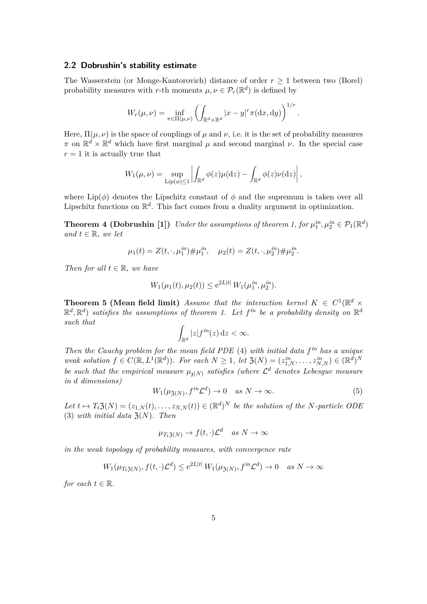#### **2.2 Dobrushin's stability estimate**

The Wasserstein (or Monge-Kantorovich) distance of order  $r \geq 1$  between two (Borel) probability measures with *r*-th moments  $\mu, \nu \in \mathcal{P}_r(\mathbb{R}^d)$  is defined by

$$
W_r(\mu,\nu) = \inf_{\pi \in \Pi(\mu,\nu)} \left( \int_{\mathbb{R}^d \times \mathbb{R}^d} |x - y|^r \pi(\mathrm{d}x,\mathrm{d}y) \right)^{1/r}.
$$

Here,  $\Pi(\mu, \nu)$  is the space of couplings of  $\mu$  and  $\nu$ , i.e. it is the set of probability measures  $\pi$  on  $\mathbb{R}^d \times \mathbb{R}^d$  which have first marginal  $\mu$  and second marginal  $\nu$ . In the special case  $r = 1$  it is actually true that

$$
W_1(\mu,\nu) = \sup_{\text{Lip}(\phi) \le 1} \left| \int_{\mathbb{R}^d} \phi(z) \mu(\mathrm{d}z) - \int_{\mathbb{R}^d} \phi(z) \nu(\mathrm{d}z) \right|,
$$

where  $\text{Lip}(\phi)$  denotes the Lipschitz constant of  $\phi$  and the supremum is taken over all Lipschitz functions on  $\mathbb{R}^d$ . This fact comes from a duality argument in optimization.

**Theorem 4 (Dobrushin [1])** *Under the assumptions of theorem 1, for*  $\mu_1^{in}, \mu_2^{in} \in \mathcal{P}_1(\mathbb{R}^d)$ *and*  $t \in \mathbb{R}$ *, we let* 

$$
\mu_1(t) = Z(t, \cdot, \mu_1^{in}) \# \mu_1^{in}, \quad \mu_2(t) = Z(t, \cdot, \mu_2^{in}) \# \mu_2^{in}.
$$

*Then for all*  $t \in \mathbb{R}$ *, we have* 

$$
W_1(\mu_1(t), \mu_2(t)) \le e^{2L|t|} W_1(\mu_1^{in}, \mu_2^{in}).
$$

**Theorem 5 (Mean field limit)** *Assume that the interaction kernel*  $K \in C^1(\mathbb{R}^d \times$  $\mathbb{R}^d$ ,  $\mathbb{R}^d$ ) *satisfies the assumptions of theorem 1. Let*  $f^{in}$  *be a probability density on*  $\mathbb{R}^d$ *such that*

$$
\int_{\mathbb{R}^d} |z| f^{in}(z) \, \mathrm{d} z < \infty.
$$

*Then the Cauchy problem for the mean field PDE* (4) *with initial data f in has a unique weak solution*  $f \in C(\mathbb{R}, L^1(\mathbb{R}^d))$ *. For each*  $N \geq 1$ *, let*  $\mathfrak{Z}(N) = (z_{1,N}^{in}, \ldots, z_{N,N}^{in}) \in (\mathbb{R}^d)^N$ *be such that the empirical measure*  $\mu_{\mathfrak{z}(N)}$  *satisfies (where*  $\mathcal{L}^d$  *denotes Lebesgue measure in d dimensions)*

$$
W_1(\mu_{\mathfrak{Z}(N)}, f^{in}\mathcal{L}^d) \to 0 \quad \text{as } N \to \infty.
$$
 (5)

 $Let t \mapsto T_t \mathfrak{Z}(N) = (z_{1,N}(t), \ldots, z_{N,N}(t)) \in (\mathbb{R}^d)^N$  be the solution of the *N*-particle ODE  $(3)$  *with initial data*  $\mathfrak{Z}(N)$ *. Then* 

$$
\mu_{T_t \mathfrak{Z}(N)} \to f(t, \cdot) \mathcal{L}^d \quad \text{as } N \to \infty
$$

*in the weak topology of probability measures, with convergence rate*

$$
W_1(\mu_{T_t \mathfrak{Z}(N)}, f(t, \cdot)\mathcal{L}^d) \le e^{2L|t|} W_1(\mu_{\mathfrak{Z}(N)}, f^{in}\mathcal{L}^d) \to 0 \quad \text{as } N \to \infty
$$

*for each*  $t \in \mathbb{R}$ *.*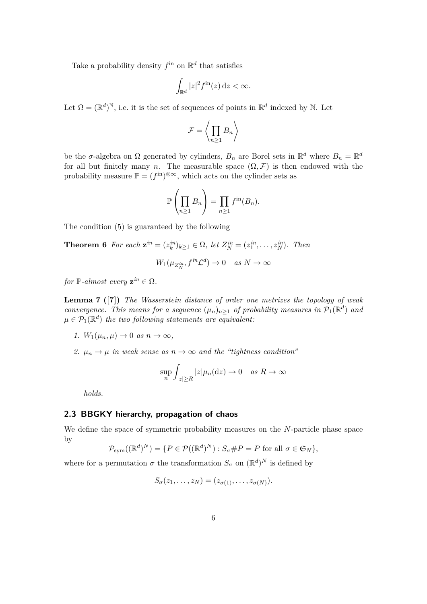Take a probability density  $f^{\text{in}}$  on  $\mathbb{R}^d$  that satisfies

$$
\int_{\mathbb{R}^d} |z|^2 f^{\rm in}(z) \, \mathrm{d} z < \infty.
$$

Let  $\Omega = (\mathbb{R}^d)^{\mathbb{N}}$ , i.e. it is the set of sequences of points in  $\mathbb{R}^d$  indexed by N. Let

$$
\mathcal{F} = \left\langle \prod_{n \geq 1} B_n \right\rangle
$$

be the *σ*-algebra on  $\Omega$  generated by cylinders,  $B_n$  are Borel sets in  $\mathbb{R}^d$  where  $B_n = \mathbb{R}^d$ for all but finitely many *n*. The measurable space  $(\Omega, \mathcal{F})$  is then endowed with the probability measure  $\mathbb{P} = (f^{\text{in}})^{\otimes \infty}$ , which acts on the cylinder sets as

$$
\mathbb{P}\left(\prod_{n\geq 1}B_n\right)=\prod_{n\geq 1}f^{\text{in}}(B_n).
$$

The condition (5) is guaranteed by the following

**Theorem 6** *For each*  $\mathbf{z}^{in} = (z_k^{in})_{k \geq 1} \in \Omega$ , let  $Z_N^{in} = (z_1^{in}, \ldots, z_N^{in})$ *. Then* 

$$
W_1(\mu_{Z_N^{in}}, f^{in}\mathcal{L}^d) \to 0 \quad as \ N \to \infty
$$

*for*  $\mathbb{P}\text{-}almost every \mathbf{z}^{\text{in}} \in \Omega$ .

**Lemma 7 ([7])** *The Wasserstein distance of order one metrizes the topology of weak convergence. This means for a sequence*  $(\mu_n)_{n\geq 1}$  *of probability measures in*  $\mathcal{P}_1(\mathbb{R}^d)$  *and*  $\mu \in \mathcal{P}_1(\mathbb{R}^d)$  *the two following statements are equivalent:* 

- *1.*  $W_1(\mu_n, \mu) \to 0$  *as*  $n \to \infty$ ,
- *2.*  $\mu_n \to \mu$  *in weak sense as*  $n \to \infty$  *and the "tightness condition"*

$$
\sup_n \int_{|z| \ge R} |z| \mu_n(\mathrm{d} z) \to 0 \quad \text{as } R \to \infty
$$

*holds.*

#### **2.3 BBGKY hierarchy, propagation of chaos**

We define the space of symmetric probability measures on the *N*-particle phase space by

$$
\mathcal{P}_{sym}((\mathbb{R}^d)^N) = \{ P \in \mathcal{P}((\mathbb{R}^d)^N) : S_{\sigma} \# P = P \text{ for all } \sigma \in \mathfrak{S}_N \},
$$

where for a permutation  $\sigma$  the transformation  $S_{\sigma}$  on  $(\mathbb{R}^d)^N$  is defined by

$$
S_{\sigma}(z_1,\ldots,z_N)=(z_{\sigma(1)},\ldots,z_{\sigma(N)}).
$$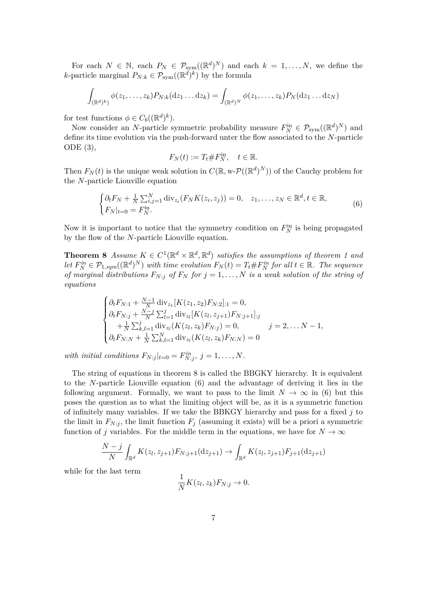For each  $N \in \mathbb{N}$ , each  $P_N \in \mathcal{P}_{sym}((\mathbb{R}^d)^N)$  and each  $k = 1, ..., N$ , we define the *k*-particle marginal  $P_{N:k} \in \mathcal{P}_{sym}((\mathbb{R}^d)^k)$  by the formula

$$
\int_{(\mathbb{R}^d)^k} \phi(z_1,\ldots,z_k) P_{N:k}(\mathrm{d} z_1\ldots\mathrm{d} z_k) = \int_{(\mathbb{R}^d)^N} \phi(z_1,\ldots,z_k) P_N(\mathrm{d} z_1\ldots\mathrm{d} z_N)
$$

for test functions  $\phi \in C_b((\mathbb{R}^d)^k)$ .

Now consider an *N*-particle symmetric probability measure  $F_N^{\text{in}} \in \mathcal{P}_{\text{sym}}((\mathbb{R}^d)^N)$  and define its time evolution via the push-forward unter the flow associated to the *N*-particle ODE (3),

$$
F_N(t) := T_t \# F_N^{\text{in}}, \quad t \in \mathbb{R}.
$$

Then  $F_N(t)$  is the unique weak solution in  $C(\mathbb{R}, w\text{-}P((\mathbb{R}^d)^N))$  of the Cauchy problem for the *N*-particle Liouville equation

$$
\begin{cases} \partial_t F_N + \frac{1}{N} \sum_{i,j=1}^N \text{div}_{z_i} (F_N K(z_i, z_j)) = 0, & z_1, \dots, z_N \in \mathbb{R}^d, t \in \mathbb{R}, \\ F_N|_{t=0} = F_N^{\text{in}}. \end{cases} \tag{6}
$$

Now it is important to notice that the symmetry condition on  $F_N^{\text{in}}$  is being propagated by the flow of the *N*-particle Liouville equation.

**Theorem 8** *Assume*  $K \in C^1(\mathbb{R}^d \times \mathbb{R}^d, \mathbb{R}^d)$  *satisfies the assumptions of theorem 1 and* let  $F_N^{in} \in \mathcal{P}_{1,sym}(\mathbb{R}^d)^N$  with time evolution  $F_N(t) = T_t \# F_N^{in}$  for all  $t \in \mathbb{R}$ . The sequence *of marginal distributions*  $F_{N:j}$  *of*  $F_N$  *for*  $j = 1, \ldots, N$  *is a weak solution of the string of equations*

$$
\begin{cases}\n\partial_t F_{N:1} + \frac{N-1}{N} \operatorname{div}_{z_1} [K(z_1, z_2) F_{N:2}]_{:1} = 0, \\
\partial_t F_{N: j} + \frac{N-j}{N} \sum_{l=1}^j \operatorname{div}_{z_l} [K(z_l, z_{j+1}) F_{N: j+1}]_{:j} \\
+ \frac{1}{N} \sum_{k,l=1}^j \operatorname{div}_{z_l} (K(z_l, z_k) F_{N: j}) = 0, \qquad j = 2, \dots N - 1, \\
\partial_t F_{N: N} + \frac{1}{N} \sum_{k,l=1}^N \operatorname{div}_{z_l} (K(z_l, z_k) F_{N: N}) = 0\n\end{cases}
$$

*with initial conditions*  $F_{N:j}|_{t=0} = F_{N:j}^{in}, j = 1, ..., N$ .

The string of equations in theorem 8 is called the BBGKY hierarchy. It is equivalent to the *N*-particle Liouville equation (6) and the advantage of deriving it lies in the following argument. Formally, we want to pass to the limit  $N \to \infty$  in (6) but this poses the question as to what the limiting object will be, as it is a symmetric function of infinitely many variables. If we take the BBKGY hierarchy and pass for a fixed *j* to the limit in  $F_{N,i}$ , the limit function  $F_i$  (assuming it exists) will be a priori a symmetric function of *j* variables. For the middle term in the equations, we have for  $N \to \infty$ 

$$
\frac{N-j}{N} \int_{\mathbb{R}^d} K(z_l, z_{j+1}) F_{N:j+1}(\mathrm{d} z_{j+1}) \to \int_{\mathbb{R}^d} K(z_l, z_{j+1}) F_{j+1}(\mathrm{d} z_{j+1})
$$

while for the last term

$$
\frac{1}{N}K(z_l, z_k)F_{N:j} \to 0.
$$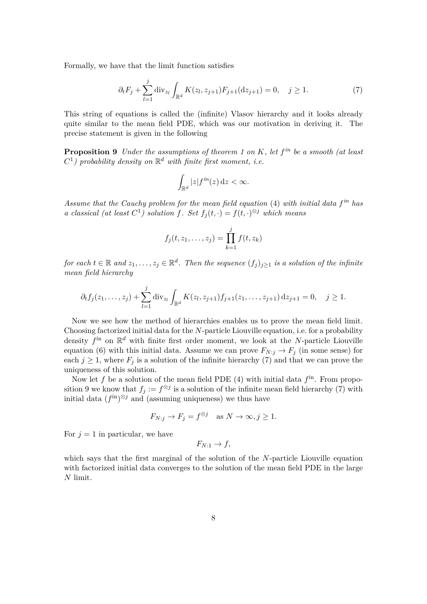Formally, we have that the limit function satisfies

$$
\partial_t F_j + \sum_{l=1}^j \text{div}_{z_l} \int_{\mathbb{R}^d} K(z_l, z_{j+1}) F_{j+1}(\text{d}z_{j+1}) = 0, \quad j \ge 1.
$$
 (7)

This string of equations is called the (infinite) Vlasov hierarchy and it looks already quite similar to the mean field PDE, which was our motivation in deriving it. The precise statement is given in the following

**Proposition 9** *Under the assumptions of theorem 1 on K, let f in be a smooth (at least*  $C^1$ ) probability density on  $\mathbb{R}^d$  with finite first moment, i.e.

$$
\int_{\mathbb{R}^d} |z| f^{in}(z) \, \mathrm{d} z < \infty.
$$

*Assume that the Cauchy problem for the mean field equation* (4) *with initial data f in has a classical* (*at least*  $C^1$ ) *solution*  $f$ *. Set*  $f_j(t, \cdot) = f(t, \cdot)^{\otimes j}$  *which means* 

$$
f_j(t, z_1,..., z_j) = \prod_{k=1}^j f(t, z_k)
$$

 $for each  $t \in \mathbb{R}$  and  $z_1, \ldots, z_j \in \mathbb{R}^d$ . Then the sequence  $(f_j)_{j \geq 1}$  is a solution of the infinite$ *mean field hierarchy*

$$
\partial_t f_j(z_1,\ldots,z_j) + \sum_{l=1}^j \operatorname{div}_{z_l} \int_{\mathbb{R}^d} K(z_l,z_{j+1}) f_{j+1}(z_1,\ldots,z_{j+1}) \, \mathrm{d} z_{j+1} = 0, \quad j \ge 1.
$$

Now we see how the method of hierarchies enables us to prove the mean field limit. Choosing factorized initial data for the *N*-particle Liouville equation, i.e. for a probability density  $f^{\text{in}}$  on  $\mathbb{R}^d$  with finite first order moment, we look at the *N*-particle Liouville equation (6) with this initial data. Assume we can prove  $F_{N:j} \to F_j$  (in some sense) for each  $j \geq 1$ , where  $F_j$  is a solution of the infinite hierarchy (7) and that we can prove the uniqueness of this solution.

Now let  $f$  be a solution of the mean field PDE  $(4)$  with initial data  $f<sup>in</sup>$ . From proposition 9 we know that  $f_j := f^{\otimes j}$  is a solution of the infinite mean field hierarchy (7) with initial data  $(f<sup>in</sup>)<sup>\otimes j</sup>$  and (assuming uniqueness) we thus have

$$
F_{N:j} \to F_j = f^{\otimes j}
$$
 as  $N \to \infty, j \ge 1$ .

For  $j = 1$  in particular, we have

$$
F_{N:1} \to f,
$$

which says that the first marginal of the solution of the *N*-particle Liouville equation with factorized initial data converges to the solution of the mean field PDE in the large *N* limit.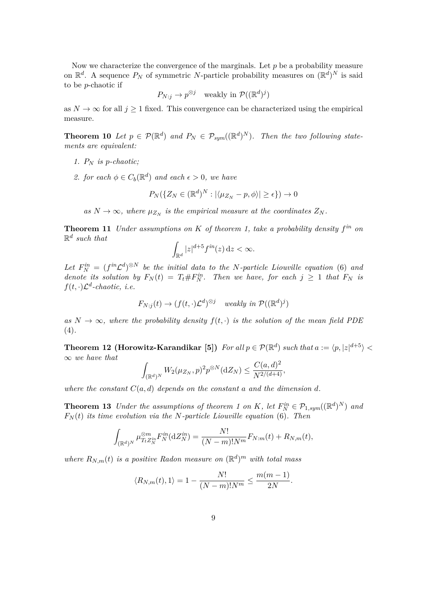Now we characterize the convergence of the marginals. Let *p* be a probability measure on  $\mathbb{R}^d$ . A sequence  $P_N$  of symmetric *N*-particle probability measures on  $(\mathbb{R}^d)^N$  is said to be *p*-chaotic if

$$
P_{N:j} \to p^{\otimes j}
$$
 weakly in  $\mathcal{P}((\mathbb{R}^d)^j)$ 

as  $N \to \infty$  for all  $j \geq 1$  fixed. This convergence can be characterized using the empirical measure.

**Theorem 10** Let  $p \in \mathcal{P}(\mathbb{R}^d)$  and  $P_N \in \mathcal{P}_{sym}((\mathbb{R}^d)^N)$ . Then the two following state*ments are equivalent:*

- *1. P<sup>N</sup> is p-chaotic;*
- 2. *for each*  $\phi \in C_b(\mathbb{R}^d)$  *and each*  $\epsilon > 0$ *, we have*

$$
P_N(\{Z_N \in (\mathbb{R}^d)^N : |\langle \mu_{Z_N} - p, \phi \rangle| \ge \epsilon\}) \to 0
$$

as  $N \to \infty$ , where  $\mu_{Z_N}$  is the empirical measure at the coordinates  $Z_N$ .

**Theorem 11** *Under assumptions on K of theorem 1, take a probability density f in on* R *d such that*

$$
\int_{\mathbb{R}^d} |z|^{d+5} f^{in}(z) \, \mathrm{d}z < \infty.
$$

Let  $F_N^{in} = (f^{in}\mathcal{L}^d)^{\otimes N}$  be the initial data to the N-particle Liouville equation (6) and *denote its solution by*  $F_N(t) = T_t \# F_N^{in}$ . Then we have, for each  $j \geq 1$  that  $F_N$  is  $f(t, \cdot)\mathcal{L}^d$ -chaotic, *i.e.* 

$$
F_{N:j}(t) \to (f(t,\cdot)\mathcal{L}^d)^{\otimes j} \quad weakly \in \mathcal{P}((\mathbb{R}^d)^j)
$$

as  $N \to \infty$ , where the probability density  $f(t, \cdot)$  is the solution of the mean field PDE (4)*.*

**Theorem 12 (Horowitz-Karandikar [5])** For all  $p \in \mathcal{P}(\mathbb{R}^d)$  such that  $a := \langle p, |z|^{d+5} \rangle$ ∞ *we have that*

$$
\int_{(\mathbb{R}^d)^N} W_2(\mu_{Z_N}, p)^2 p^{\otimes N}(\mathrm{d}Z_N) \le \frac{C(a, d)^2}{N^{2/(d+4)}},
$$

where the constant  $C(a, d)$  depends on the constant a and the dimension d.

**Theorem 13** *Under the assumptions of theorem 1 on K*, let  $F_N^{\text{in}} \in \mathcal{P}_{1,\text{sym}}((\mathbb{R}^d)^N)$  and  $F_N(t)$  *its time evolution via the N-particle Liouville equation* (6)*. Then* 

$$
\int_{(\mathbb{R}^d)^N} \mu_{T_t Z_N^{in}}^{\otimes m} F_N^{in}(\mathrm{d}Z_N^{in}) = \frac{N!}{(N-m)!N^m} F_{N:m}(t) + R_{N,m}(t),
$$

*where*  $R_{N,m}(t)$  *is a positive Radon measure on*  $(\mathbb{R}^d)^m$  *with total mass* 

$$
\langle R_{N,m}(t), 1 \rangle = 1 - \frac{N!}{(N-m)!N^m} \le \frac{m(m-1)}{2N}.
$$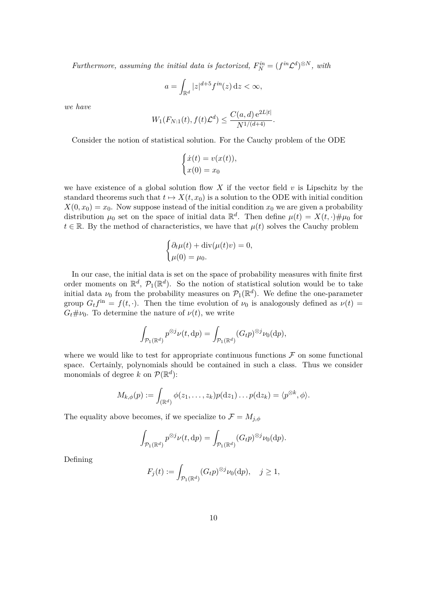*Furthermore, assuming the initial data is factorized,*  $F_N^{in} = (f^{in}\mathcal{L}^d)^{\otimes N}$ , with

$$
a = \int_{\mathbb{R}^d} |z|^{d+5} f^{in}(z) \, \mathrm{d}z < \infty,
$$

*we have*

$$
W_1(F_{N:1}(t), f(t)\mathcal{L}^d) \le \frac{C(a,d) e^{2L|t|}}{N^{1/(d+4)}}.
$$

Consider the notion of statistical solution. For the Cauchy problem of the ODE

$$
\begin{cases}\n\dot{x}(t) = v(x(t)), \\
x(0) = x_0\n\end{cases}
$$

we have existence of a global solution flow X if the vector field  $v$  is Lipschitz by the standard theorems such that  $t \mapsto X(t, x_0)$  is a solution to the ODE with initial condition  $X(0, x_0) = x_0$ . Now suppose instead of the initial condition  $x_0$  we are given a probability distribution  $\mu_0$  set on the space of initial data  $\mathbb{R}^d$ . Then define  $\mu(t) = X(t, \cdot) \# \mu_0$  for  $t \in \mathbb{R}$ . By the method of characteristics, we have that  $\mu(t)$  solves the Cauchy problem

$$
\begin{cases} \partial_t \mu(t) + \operatorname{div}(\mu(t)v) = 0, \\ \mu(0) = \mu_0. \end{cases}
$$

In our case, the initial data is set on the space of probability measures with finite first order moments on  $\mathbb{R}^d$ ,  $\mathcal{P}_1(\mathbb{R}^d)$ . So the notion of statistical solution would be to take initial data  $\nu_0$  from the probability measures on  $\mathcal{P}_1(\mathbb{R}^d)$ . We define the one-parameter group  $G_t f^{\text{in}} = f(t, \cdot)$ . Then the time evolution of  $\nu_0$  is analogously defined as  $\nu(t) =$  $G_t \# \nu_0$ . To determine the nature of  $\nu(t)$ , we write

$$
\int_{\mathcal{P}_1(\mathbb{R}^d)} p^{\otimes j} \nu(t, \mathrm{d}p) = \int_{\mathcal{P}_1(\mathbb{R}^d)} (G_t p)^{\otimes j} \nu_0(\mathrm{d}p),
$$

where we would like to test for appropriate continuous functions  $\mathcal F$  on some functional space. Certainly, polynomials should be contained in such a class. Thus we consider monomials of degree k on  $\mathcal{P}(\mathbb{R}^d)$ :

$$
M_{k,\phi}(p):=\int_{(\mathbb{R}^d)}\phi(z_1,\ldots,z_k)p(\mathrm{d}z_1)\ldots p(\mathrm{d}z_k)=\langle p^{\otimes k},\phi\rangle.
$$

The equality above becomes, if we specialize to  $\mathcal{F} = M_{j,\phi}$ 

$$
\int_{\mathcal{P}_1(\mathbb{R}^d)} p^{\otimes j} \nu(t, \mathrm{d}p) = \int_{\mathcal{P}_1(\mathbb{R}^d)} (G_t p)^{\otimes j} \nu_0(\mathrm{d}p).
$$

Defining

$$
F_j(t) := \int_{\mathcal{P}_1(\mathbb{R}^d)} (G_t p)^{\otimes j} \nu_0(\mathrm{d}p), \quad j \ge 1,
$$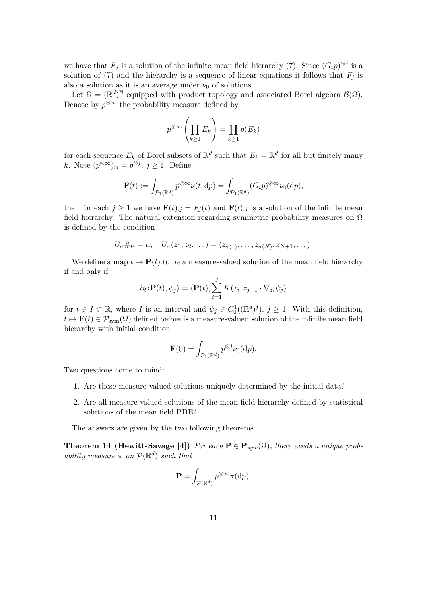we have that  $F_j$  is a solution of the infinite mean field hierarchy (7): Since  $(G_t p)^{\otimes j}$  is a solution of (7) and the hierarchy is a sequence of linear equations it follows that  $F_i$  is also a solution as it is an average under  $\nu_0$  of solutions.

Let  $\Omega = (\mathbb{R}^d)^{\mathbb{N}}$  equipped with product topology and associated Borel algebra  $\mathcal{B}(\Omega)$ . Denote by  $p^{\otimes \infty}$  the probability measure defined by

$$
p^{\otimes \infty} \left( \prod_{k \ge 1} E_k \right) = \prod_{k \ge 1} p(E_k)
$$

for each sequence  $E_k$  of Borel subsets of  $\mathbb{R}^d$  such that  $E_k = \mathbb{R}^d$  for all but finitely many *k*. Note  $(p^{\otimes \infty})_{:j} = p^{\otimes j}, j ≥ 1$ . Define

$$
\mathbf{F}(t) := \int_{\mathcal{P}_1(\mathbb{R}^d)} p^{\otimes \infty} \nu(t, \mathrm{d}p) = \int_{\mathcal{P}_1(\mathbb{R}^d)} (G_t p)^{\otimes \infty} \nu_0(\mathrm{d}p),
$$

then for each  $j \ge 1$  we have  $\mathbf{F}(t)_{:j} = F_j(t)$  and  $\mathbf{F}(t)_{:j}$  is a solution of the infinite mean field hierarchy. The natural extension regarding symmetric probability measures on  $\Omega$ is defined by the condition

$$
U_{\sigma}\#\mu=\mu, \quad U_{\sigma}(z_1,z_2,\dots)=(z_{\sigma(1)},\dots,z_{\sigma(N)},z_{N+1},\dots).
$$

We define a map  $t \mapsto \mathbf{P}(t)$  to be a measure-valued solution of the mean field hierarchy if and only if

$$
\partial_t \langle \mathbf{P}(t), \psi_j \rangle = \langle \mathbf{P}(t), \sum_{i=1}^j K(z_i, z_{j+1} \cdot \nabla_{z_i} \psi_j) \rangle
$$

for  $t \in I \subset \mathbb{R}$ , where *I* is an interval and  $\psi_j \in C_0^1((\mathbb{R}^d)^j)$ ,  $j \geq 1$ . With this definition,  $t \mapsto \mathbf{F}(t) \in \mathcal{P}_{sym}(\Omega)$  defined before is a measure-valued solution of the infinite mean field hierarchy with initial condition

$$
\mathbf{F}(0) = \int_{\mathcal{P}_1(\mathbb{R}^d)} p^{\otimes j} \nu_0(\mathrm{d}p).
$$

Two questions come to mind:

- 1. Are these measure-valued solutions uniquely determined by the initial data?
- 2. Are all measure-valued solutions of the mean field hierarchy defined by statistical solutions of the mean field PDE?

The answers are given by the two following theorems.

**Theorem 14 (Hewitt-Savage [4])** *For each*  $P \in P_{sym}(\Omega)$ *, there exists a unique probability measure*  $\pi$  *on*  $\mathcal{P}(\mathbb{R}^d)$  *such that* 

$$
\mathbf{P} = \int_{\mathcal{P}(\mathbb{R}^d)} p^{\otimes \infty} \pi(\mathrm{d}p).
$$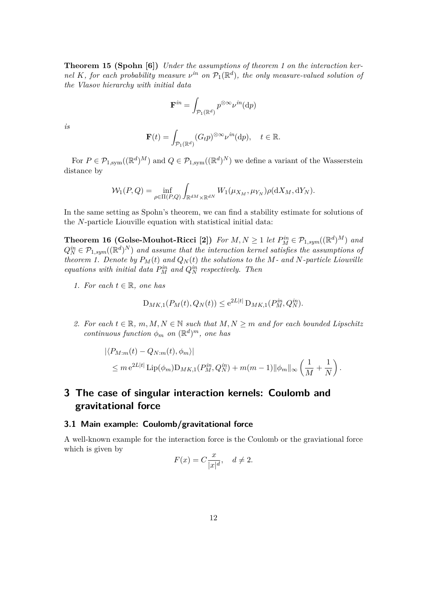**Theorem 15 (Spohn [6])** *Under the assumptions of theorem 1 on the interaction kernel K, for each probability measure*  $\nu^{in}$  *on*  $\mathcal{P}_1(\mathbb{R}^d)$ *, the only measure-valued solution of the Vlasov hierarchy with initial data*

$$
\mathbf{F}^{in}=\int_{\mathcal{P}_1(\mathbb{R}^d)}p^{\otimes \infty}\nu^{in}(\mathrm{d} p)
$$

*is*

$$
\mathbf{F}(t) = \int_{\mathcal{P}_1(\mathbb{R}^d)} (G_t p)^{\otimes \infty} \nu^{in}(\mathrm{d}p), \quad t \in \mathbb{R}.
$$

For  $P \in \mathcal{P}_{1,\text{sym}}((\mathbb{R}^d)^M)$  and  $Q \in \mathcal{P}_{1,\text{sym}}((\mathbb{R}^d)^N)$  we define a variant of the Wasserstein distance by

$$
\mathcal{W}_1(P,Q) = \inf_{\rho \in \Pi(P,Q)} \int_{\mathbb{R}^{dM} \times \mathbb{R}^{dN}} W_1(\mu_{X_M}, \mu_{Y_N}) \rho(\mathrm{d}X_M, \mathrm{d}Y_N).
$$

In the same setting as Spohn's theorem, we can find a stability estimate for solutions of the *N*-particle Liouville equation with statistical initial data:

**Theorem 16 (Golse-Mouhot-Ricci [2])** For  $M, N \geq 1$  let  $P_M^{in} \in \mathcal{P}_{1,sym}((\mathbb{R}^d)^M)$  and  $Q_N^{in} \in \mathcal{P}_{1,sym}((\mathbb{R}^d)^N)$  and assume that the interaction kernel satisfies the assumptions of *theorem 1. Denote by*  $P_M(t)$  *and*  $Q_N(t)$  *the solutions to the*  $M$ *- and*  $N$ *-particle Liouville equations with initial data*  $P_M^{in}$  *and*  $Q_N^{in}$  *respectively. Then* 

*1.* For each  $t \in \mathbb{R}$ , one has

$$
D_{MK,1}(P_M(t), Q_N(t)) \le e^{2L|t|} D_{MK,1}(P_M^{in}, Q_N^{in}).
$$

*2.* For each  $t \in \mathbb{R}$ ,  $m, M, N \in \mathbb{N}$  such that  $M, N \geq m$  and for each bounded Lipschitz *continuous function*  $\phi_m$  *on*  $(\mathbb{R}^d)^m$ *, one has* 

$$
\langle P_{M:m}(t) - Q_{N:m}(t), \phi_m \rangle|
$$
  
\$\leq m e^{2L|t|} \operatorname{Lip}(\phi\_m) \mathcal{D}\_{MK,1}(P\_M^{in}, Q\_N^{in}) + m(m-1) ||\phi\_m||\_\infty \left(\frac{1}{M} + \frac{1}{N}\right).

# **3 The case of singular interaction kernels: Coulomb and gravitational force**

#### **3.1 Main example: Coulomb/gravitational force**

A well-known example for the interaction force is the Coulomb or the graviational force which is given by

$$
F(x) = C \frac{x}{|x|^d}, \quad d \neq 2.
$$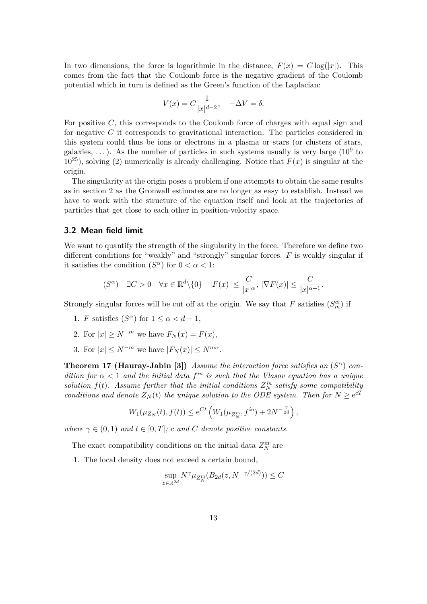In two dimensions, the force is logarithmic in the distance,  $F(x) = C \log(|x|)$ . This comes from the fact that the Coulomb force is the negative gradient of the Coulomb potential which in turn is defined as the Green's function of the Laplacian:

$$
V(x) = C \frac{1}{|x|^{d-2}}, \quad -\Delta V = \delta.
$$

For positive *C*, this corresponds to the Coulomb force of charges with equal sign and for negative *C* it corresponds to gravitational interaction. The particles considered in this system could thus be ions or electrons in a plasma or stars (or clusters of stars, galaxies, ...). As the number of particles in such systems usually is very large  $(10^9)$  to  $10^{25}$ , solving (2) numerically is already challenging. Notice that  $F(x)$  is singular at the origin.

The singularity at the origin poses a problem if one attempts to obtain the same results as in section 2 as the Gronwall estimates are no longer as easy to establish. Instead we have to work with the structure of the equation itself and look at the trajectories of particles that get close to each other in position-velocity space.

#### **3.2 Mean field limit**

We want to quantify the strength of the singularity in the force. Therefore we define two different conditions for "weakly" and "strongly" singular forces. *F* is weakly singular if it satisfies the condition  $(S^{\alpha})$  for  $0 < \alpha < 1$ :

$$
(S^{\alpha}) \quad \exists C > 0 \quad \forall x \in \mathbb{R}^d \setminus \{0\} \quad |F(x)| \leq \frac{C}{|x|^{\alpha}}, \ |\nabla F(x)| \leq \frac{C}{|x|^{\alpha+1}}.
$$

Strongly singular forces will be cut off at the origin. We say that  $F$  satisfies  $(S_m^{\alpha})$  if

- 1. *F* satisfies  $(S^{\alpha})$  for  $1 \leq \alpha < d-1$ ,
- 2. For  $|x| \geq N^{-m}$  we have  $F_N(x) = F(x)$ ,
- 3. For  $|x| \leq N^{-m}$  we have  $|F_N(x)| \leq N^{m\alpha}$ .

**Theorem 17 (Hauray-Jabin [3])** *Assume the interaction force satisfies an*  $(S^{\alpha})$  *condition for*  $\alpha < 1$  *and the initial data f<sup>in</sup> is such that the Vlasov equation has a unique solution*  $f(t)$ *. Assume further that the initial conditions*  $Z_N^{in}$  *satisfy some compatibility conditions and denote*  $Z_N(t)$  *the unique solution to the ODE system. Then for*  $N \ge e^{cT}$ 

$$
W_1(\mu_{Z_N}(t), f(t)) \le e^{Ct} \left( W_1(\mu_{Z_N^{in}}, f^{in}) + 2N^{-\frac{\gamma}{2d}} \right),
$$

*where*  $\gamma \in (0,1)$  *and*  $t \in [0,T]$ *; c and C denote positive constants.* 

The exact compatibility conditions on the initial data  $Z_N^{\text{in}}$  are

1. The local density does not exceed a certain bound,

$$
\sup_{z \in \mathbb{R}^{2d}} N^{\gamma} \mu_{Z_N^{\text{in}}}(B_{2d}(z, N^{-\gamma/(2d)})) \le C
$$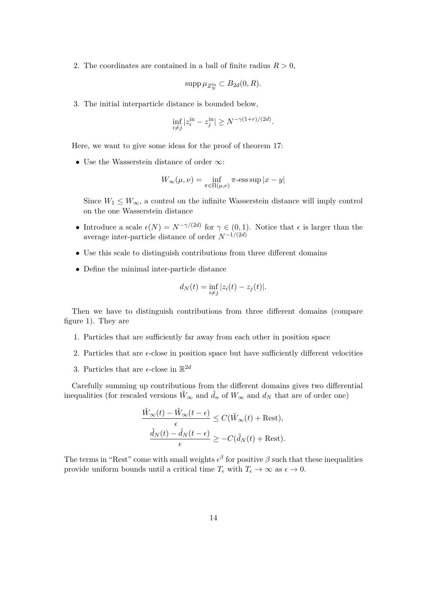2. The coordinates are contained in a ball of finite radius  $R > 0$ ,

$$
\mathrm{supp}\,\mu_{Z_N^{\mathrm{in}}} \subset B_{2d}(0,R).
$$

3. The initial interparticle distance is bounded below,

$$
\inf_{i \neq j} |z_i^{\text{in}} - z_j^{\text{in}}| \ge N^{-\gamma(1+r)/(2d)}.
$$

Here, we want to give some ideas for the proof of theorem 17:

• Use the Wasserstein distance of order ∞:

$$
W_\infty(\mu,\nu)=\inf_{\pi\in\Pi(\mu,\nu)}\pi\textrm{-}\mathop{\mathrm{ess\,sup}}|x-y|
$$

Since  $W_1 \leq W_{\infty}$ , a control on the infinite Wasserstein distance will imply control on the one Wasserstein distance

- Introduce a scale  $\epsilon(N) = N^{-\gamma/(2d)}$  for  $\gamma \in (0,1)$ . Notice that  $\epsilon$  is larger than the average inter-particle distance of order *N* <sup>−</sup>1*/*(2*d*)
- Use this scale to distinguish contributions from three different domains
- Define the minimal inter-particle distance

$$
d_N(t) = \inf_{i \neq j} |z_i(t) - z_j(t)|.
$$

Then we have to distinguish contributions from three different domains (compare figure 1). They are

- 1. Particles that are sufficiently far away from each other in position space
- 2. Particles that are  $\epsilon$ -close in position space but have sufficiently different velocities
- 3. Particles that are  $\epsilon$ -close in  $\mathbb{R}^{2d}$

Carefully summing up contributions from the different domains gives two differential inequalities (for rescaled versions  $\hat{W}_{\infty}$  and  $\hat{d}_n$  of  $W_{\infty}$  and  $d_N$  that are of order one)

$$
\frac{\tilde{W}_{\infty}(t) - \tilde{W}_{\infty}(t - \epsilon)}{\epsilon} \le C(\tilde{W}_{\infty}(t) + \text{Rest}),
$$

$$
\frac{\tilde{d}_{N}(t) - \tilde{d}_{N}(t - \epsilon)}{\epsilon} \ge -C(\tilde{d}_{N}(t) + \text{Rest}).
$$

The terms in "Rest" come with small weights  $\epsilon^{\beta}$  for positive  $\beta$  such that these inequalities provide uniform bounds until a critical time  $T_{\epsilon}$  with  $T_{\epsilon} \to \infty$  as  $\epsilon \to 0$ .